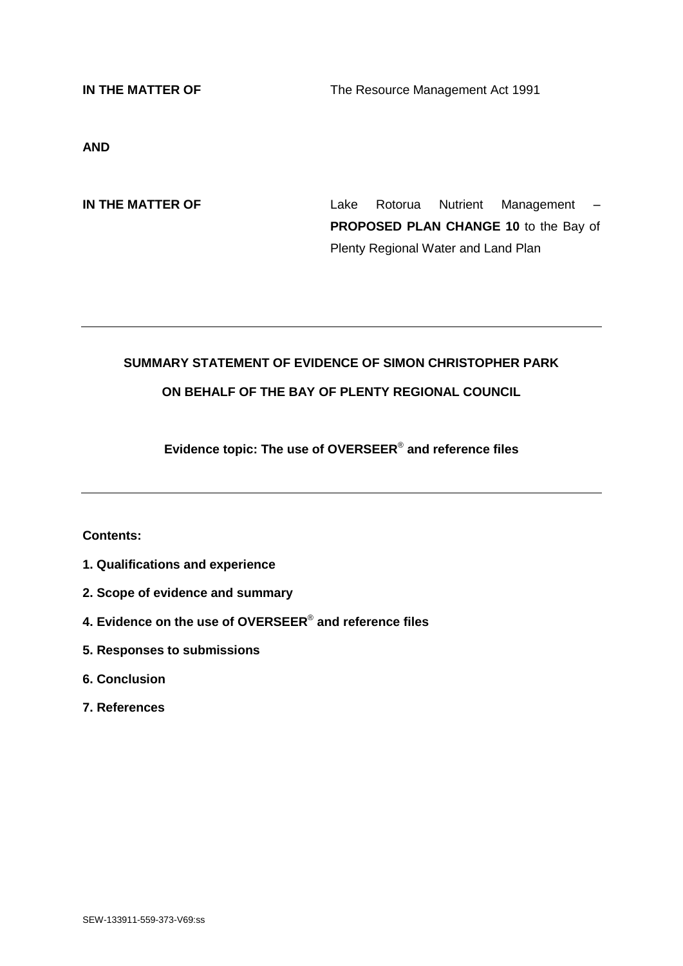**IN THE MATTER OF** The Resource Management Act 1991

**AND**

**IN THE MATTER OF THE SET ALL AREA Rotorua** Nutrient Management – **PROPOSED PLAN CHANGE 10** to the Bay of Plenty Regional Water and Land Plan

# **SUMMARY STATEMENT OF EVIDENCE OF SIMON CHRISTOPHER PARK**

# **ON BEHALF OF THE BAY OF PLENTY REGIONAL COUNCIL**

**Evidence topic: The use of OVERSEER**® **and reference files**

**Contents:**

- **1. Qualifications and experience**
- **2. Scope of evidence and summary**
- **4. Evidence on the use of OVERSEER**® **and reference files**
- **5. Responses to submissions**
- **6. Conclusion**
- **7. References**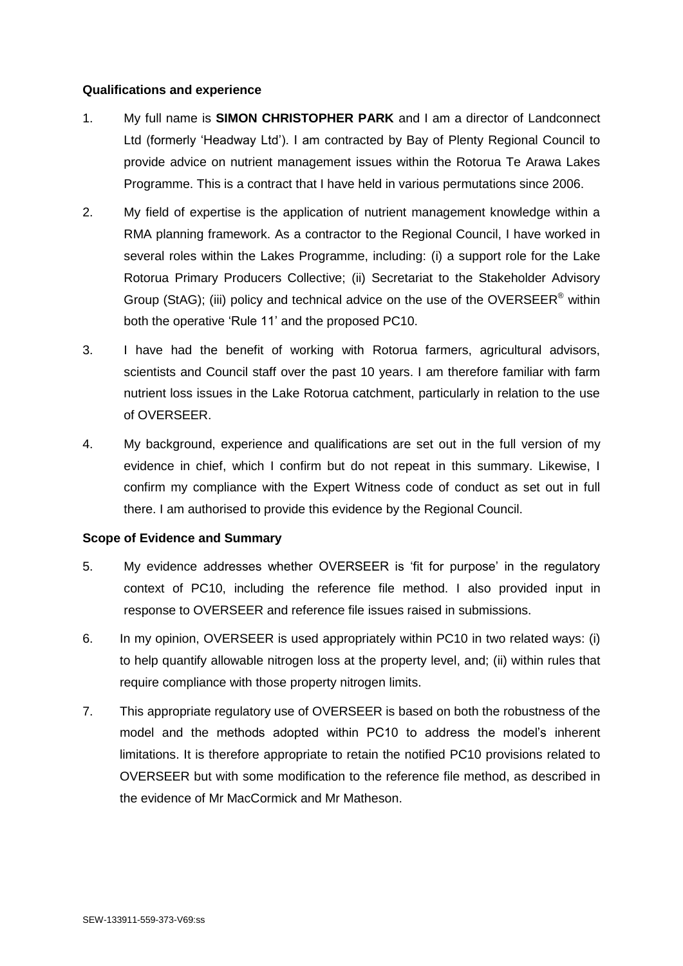#### **Qualifications and experience**

- 1. My full name is **SIMON CHRISTOPHER PARK** and I am a director of Landconnect Ltd (formerly 'Headway Ltd'). I am contracted by Bay of Plenty Regional Council to provide advice on nutrient management issues within the Rotorua Te Arawa Lakes Programme. This is a contract that I have held in various permutations since 2006.
- 2. My field of expertise is the application of nutrient management knowledge within a RMA planning framework. As a contractor to the Regional Council, I have worked in several roles within the Lakes Programme, including: (i) a support role for the Lake Rotorua Primary Producers Collective; (ii) Secretariat to the Stakeholder Advisory Group (StAG); (iii) policy and technical advice on the use of the OVERSEER<sup>®</sup> within both the operative 'Rule 11' and the proposed PC10.
- 3. I have had the benefit of working with Rotorua farmers, agricultural advisors, scientists and Council staff over the past 10 years. I am therefore familiar with farm nutrient loss issues in the Lake Rotorua catchment, particularly in relation to the use of OVERSEER.
- 4. My background, experience and qualifications are set out in the full version of my evidence in chief, which I confirm but do not repeat in this summary. Likewise, I confirm my compliance with the Expert Witness code of conduct as set out in full there. I am authorised to provide this evidence by the Regional Council.

## **Scope of Evidence and Summary**

- 5. My evidence addresses whether OVERSEER is 'fit for purpose' in the regulatory context of PC10, including the reference file method. I also provided input in response to OVERSEER and reference file issues raised in submissions.
- 6. In my opinion, OVERSEER is used appropriately within PC10 in two related ways: (i) to help quantify allowable nitrogen loss at the property level, and; (ii) within rules that require compliance with those property nitrogen limits.
- 7. This appropriate regulatory use of OVERSEER is based on both the robustness of the model and the methods adopted within PC10 to address the model's inherent limitations. It is therefore appropriate to retain the notified PC10 provisions related to OVERSEER but with some modification to the reference file method, as described in the evidence of Mr MacCormick and Mr Matheson.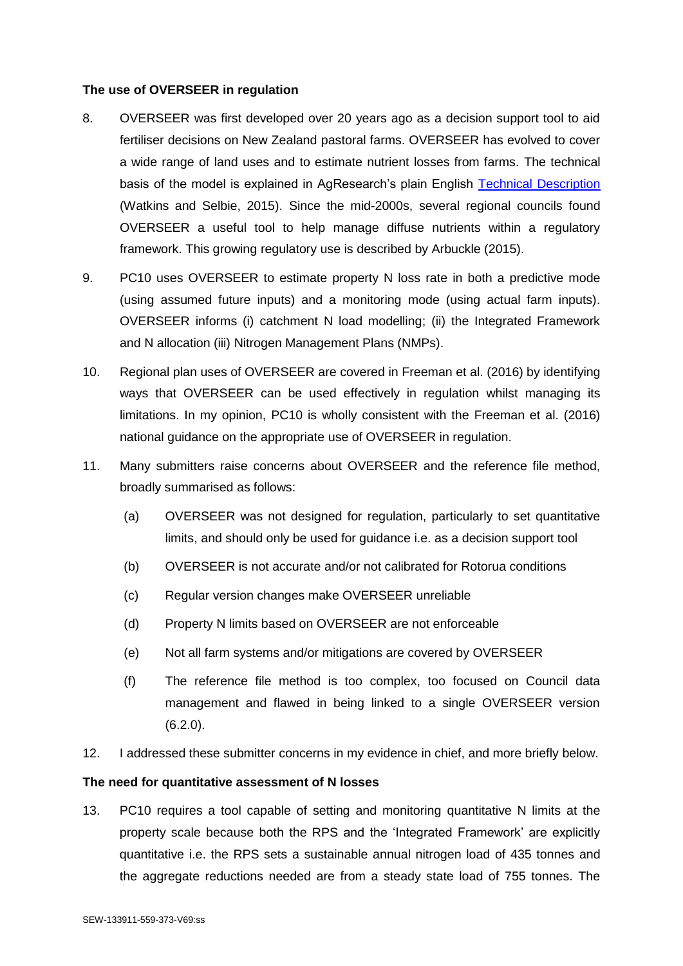#### **The use of OVERSEER in regulation**

- 8. OVERSEER was first developed over 20 years ago as a decision support tool to aid fertiliser decisions on New Zealand pastoral farms. OVERSEER has evolved to cover a wide range of land uses and to estimate nutrient losses from farms. The technical basis of the model is explained in AgResearch's plain English [Technical Description](http://overseer.org.nz/files/download/1d8121b05b8b934) (Watkins and Selbie, 2015). Since the mid-2000s, several regional councils found OVERSEER a useful tool to help manage diffuse nutrients within a regulatory framework. This growing regulatory use is described by Arbuckle (2015).
- 9. PC10 uses OVERSEER to estimate property N loss rate in both a predictive mode (using assumed future inputs) and a monitoring mode (using actual farm inputs). OVERSEER informs (i) catchment N load modelling; (ii) the Integrated Framework and N allocation (iii) Nitrogen Management Plans (NMPs).
- 10. Regional plan uses of OVERSEER are covered in Freeman et al. (2016) by identifying ways that OVERSEER can be used effectively in regulation whilst managing its limitations. In my opinion, PC10 is wholly consistent with the Freeman et al. (2016) national guidance on the appropriate use of OVERSEER in regulation.
- 11. Many submitters raise concerns about OVERSEER and the reference file method, broadly summarised as follows:
	- (a) OVERSEER was not designed for regulation, particularly to set quantitative limits, and should only be used for guidance i.e. as a decision support tool
	- (b) OVERSEER is not accurate and/or not calibrated for Rotorua conditions
	- (c) Regular version changes make OVERSEER unreliable
	- (d) Property N limits based on OVERSEER are not enforceable
	- (e) Not all farm systems and/or mitigations are covered by OVERSEER
	- (f) The reference file method is too complex, too focused on Council data management and flawed in being linked to a single OVERSEER version (6.2.0).
- 12. I addressed these submitter concerns in my evidence in chief, and more briefly below.

## **The need for quantitative assessment of N losses**

13. PC10 requires a tool capable of setting and monitoring quantitative N limits at the property scale because both the RPS and the 'Integrated Framework' are explicitly quantitative i.e. the RPS sets a sustainable annual nitrogen load of 435 tonnes and the aggregate reductions needed are from a steady state load of 755 tonnes. The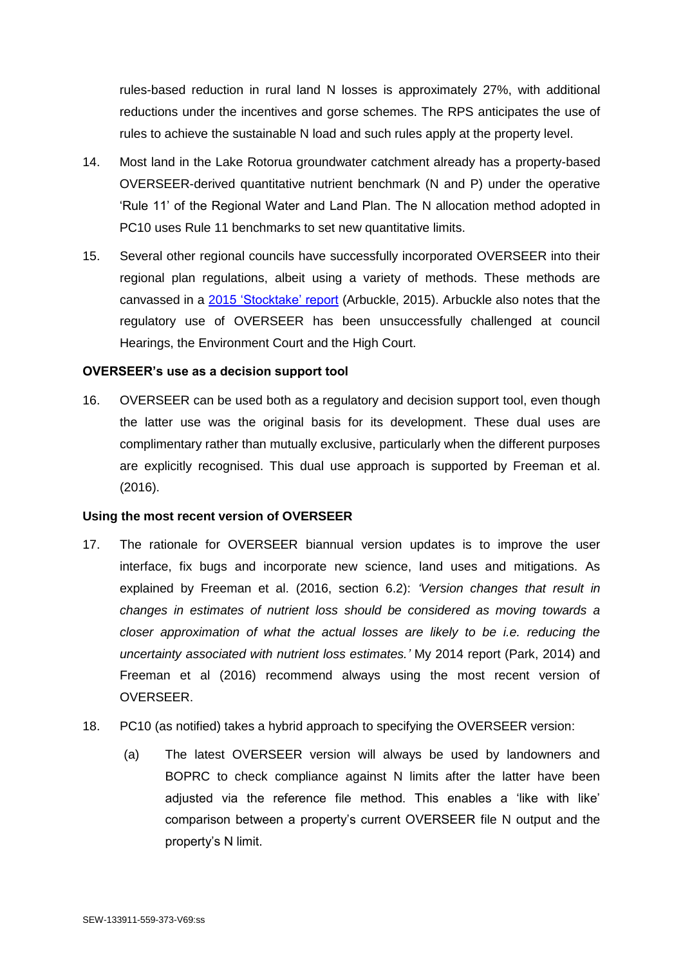rules-based reduction in rural land N losses is approximately 27%, with additional reductions under the incentives and gorse schemes. The RPS anticipates the use of rules to achieve the sustainable N load and such rules apply at the property level.

- 14. Most land in the Lake Rotorua groundwater catchment already has a property-based OVERSEER-derived quantitative nutrient benchmark (N and P) under the operative 'Rule 11' of the Regional Water and Land Plan. The N allocation method adopted in PC10 uses Rule 11 benchmarks to set new quantitative limits.
- 15. Several other regional councils have successfully incorporated OVERSEER into their regional plan regulations, albeit using a variety of methods. These methods are canvassed in a [2015 'Stocktake' report](http://overseer.org.nz/files/download/254238e8c9aa21d) (Arbuckle, 2015). Arbuckle also notes that the regulatory use of OVERSEER has been unsuccessfully challenged at council Hearings, the Environment Court and the High Court.

## **OVERSEER's use as a decision support tool**

16. OVERSEER can be used both as a regulatory and decision support tool, even though the latter use was the original basis for its development. These dual uses are complimentary rather than mutually exclusive, particularly when the different purposes are explicitly recognised. This dual use approach is supported by Freeman et al. (2016).

#### **Using the most recent version of OVERSEER**

- 17. The rationale for OVERSEER biannual version updates is to improve the user interface, fix bugs and incorporate new science, land uses and mitigations. As explained by Freeman et al. (2016, section 6.2): *'Version changes that result in changes in estimates of nutrient loss should be considered as moving towards a closer approximation of what the actual losses are likely to be i.e. reducing the uncertainty associated with nutrient loss estimates.'* My 2014 report (Park, 2014) and Freeman et al (2016) recommend always using the most recent version of OVERSEER.
- 18. PC10 (as notified) takes a hybrid approach to specifying the OVERSEER version:
	- (a) The latest OVERSEER version will always be used by landowners and BOPRC to check compliance against N limits after the latter have been adjusted via the reference file method. This enables a 'like with like' comparison between a property's current OVERSEER file N output and the property's N limit.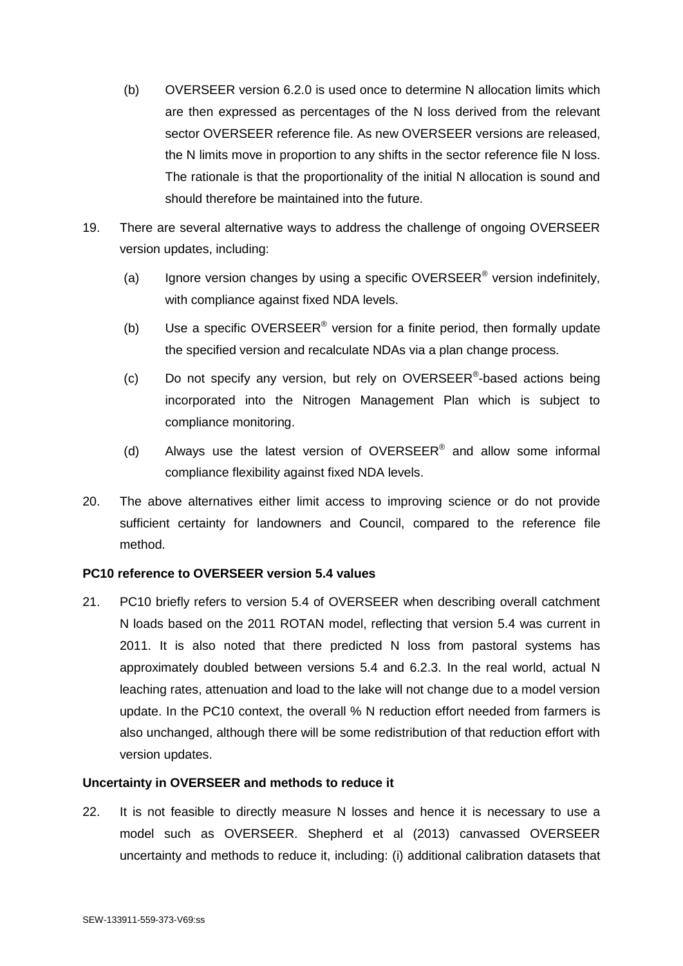- (b) OVERSEER version 6.2.0 is used once to determine N allocation limits which are then expressed as percentages of the N loss derived from the relevant sector OVERSEER reference file. As new OVERSEER versions are released, the N limits move in proportion to any shifts in the sector reference file N loss. The rationale is that the proportionality of the initial N allocation is sound and should therefore be maintained into the future.
- 19. There are several alternative ways to address the challenge of ongoing OVERSEER version updates, including:
	- (a) Ignore version changes by using a specific OVERSEER<sup>®</sup> version indefinitely, with compliance against fixed NDA levels.
	- (b) Use a specific OVERSEER<sup>®</sup> version for a finite period, then formally update the specified version and recalculate NDAs via a plan change process.
	- (c) Do not specify any version, but rely on OVERSEER®-based actions being incorporated into the Nitrogen Management Plan which is subject to compliance monitoring.
	- (d) Always use the latest version of OVERSEER<sup>®</sup> and allow some informal compliance flexibility against fixed NDA levels.
- 20. The above alternatives either limit access to improving science or do not provide sufficient certainty for landowners and Council, compared to the reference file method.

## **PC10 reference to OVERSEER version 5.4 values**

21. PC10 briefly refers to version 5.4 of OVERSEER when describing overall catchment N loads based on the 2011 ROTAN model, reflecting that version 5.4 was current in 2011. It is also noted that there predicted N loss from pastoral systems has approximately doubled between versions 5.4 and 6.2.3. In the real world, actual N leaching rates, attenuation and load to the lake will not change due to a model version update. In the PC10 context, the overall % N reduction effort needed from farmers is also unchanged, although there will be some redistribution of that reduction effort with version updates.

## **Uncertainty in OVERSEER and methods to reduce it**

22. It is not feasible to directly measure N losses and hence it is necessary to use a model such as OVERSEER. Shepherd et al (2013) canvassed OVERSEER uncertainty and methods to reduce it, including: (i) additional calibration datasets that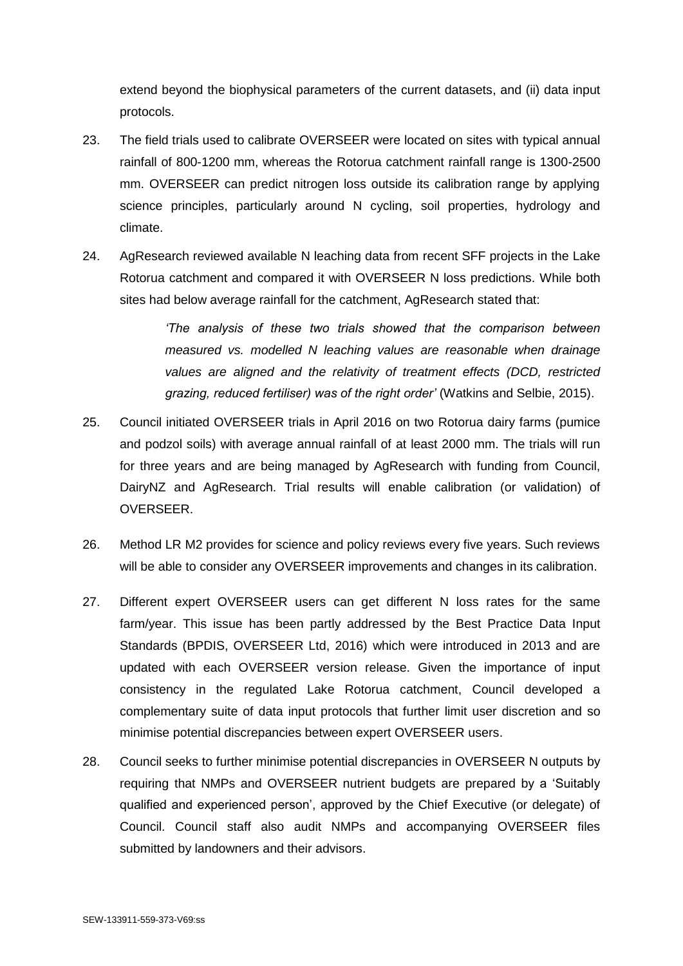extend beyond the biophysical parameters of the current datasets, and (ii) data input protocols.

- 23. The field trials used to calibrate OVERSEER were located on sites with typical annual rainfall of 800-1200 mm, whereas the Rotorua catchment rainfall range is 1300-2500 mm. OVERSEER can predict nitrogen loss outside its calibration range by applying science principles, particularly around N cycling, soil properties, hydrology and climate.
- 24. AgResearch reviewed available N leaching data from recent SFF projects in the Lake Rotorua catchment and compared it with OVERSEER N loss predictions. While both sites had below average rainfall for the catchment, AgResearch stated that:

*'The analysis of these two trials showed that the comparison between measured vs. modelled N leaching values are reasonable when drainage values are aligned and the relativity of treatment effects (DCD, restricted grazing, reduced fertiliser) was of the right order'* (Watkins and Selbie, 2015).

- 25. Council initiated OVERSEER trials in April 2016 on two Rotorua dairy farms (pumice and podzol soils) with average annual rainfall of at least 2000 mm. The trials will run for three years and are being managed by AgResearch with funding from Council, DairyNZ and AgResearch. Trial results will enable calibration (or validation) of OVERSEER.
- 26. Method LR M2 provides for science and policy reviews every five years. Such reviews will be able to consider any OVERSEER improvements and changes in its calibration.
- 27. Different expert OVERSEER users can get different N loss rates for the same farm/year. This issue has been partly addressed by the Best Practice Data Input Standards (BPDIS, OVERSEER Ltd, 2016) which were introduced in 2013 and are updated with each OVERSEER version release. Given the importance of input consistency in the regulated Lake Rotorua catchment, Council developed a complementary suite of data input protocols that further limit user discretion and so minimise potential discrepancies between expert OVERSEER users.
- 28. Council seeks to further minimise potential discrepancies in OVERSEER N outputs by requiring that NMPs and OVERSEER nutrient budgets are prepared by a 'Suitably qualified and experienced person', approved by the Chief Executive (or delegate) of Council. Council staff also audit NMPs and accompanying OVERSEER files submitted by landowners and their advisors.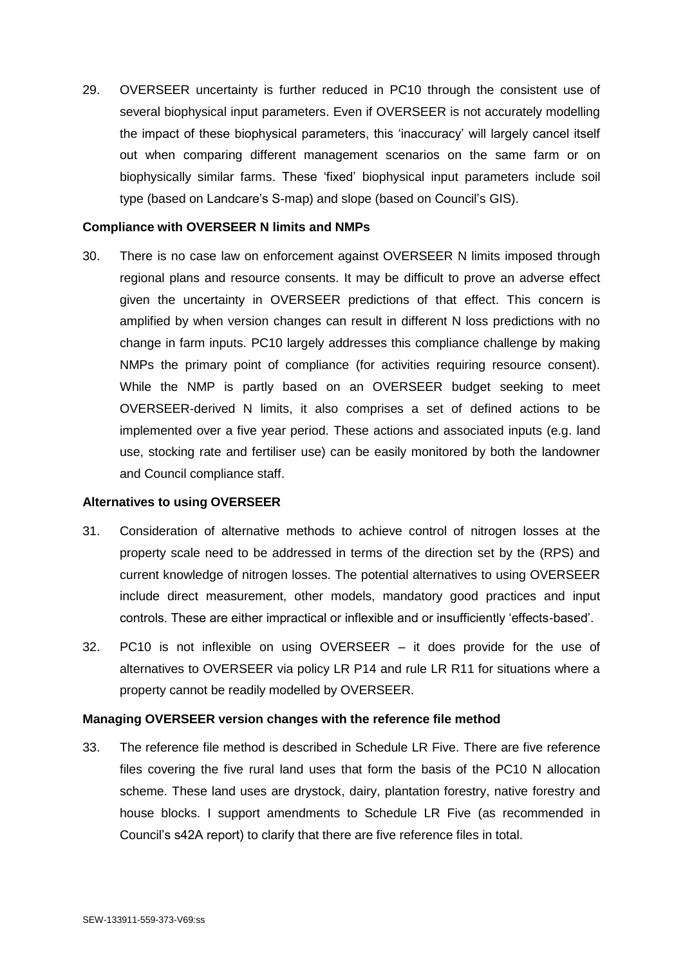29. OVERSEER uncertainty is further reduced in PC10 through the consistent use of several biophysical input parameters. Even if OVERSEER is not accurately modelling the impact of these biophysical parameters, this 'inaccuracy' will largely cancel itself out when comparing different management scenarios on the same farm or on biophysically similar farms. These 'fixed' biophysical input parameters include soil type (based on Landcare's S-map) and slope (based on Council's GIS).

#### **Compliance with OVERSEER N limits and NMPs**

30. There is no case law on enforcement against OVERSEER N limits imposed through regional plans and resource consents. It may be difficult to prove an adverse effect given the uncertainty in OVERSEER predictions of that effect. This concern is amplified by when version changes can result in different N loss predictions with no change in farm inputs. PC10 largely addresses this compliance challenge by making NMPs the primary point of compliance (for activities requiring resource consent). While the NMP is partly based on an OVERSEER budget seeking to meet OVERSEER-derived N limits, it also comprises a set of defined actions to be implemented over a five year period. These actions and associated inputs (e.g. land use, stocking rate and fertiliser use) can be easily monitored by both the landowner and Council compliance staff.

## **Alternatives to using OVERSEER**

- 31. Consideration of alternative methods to achieve control of nitrogen losses at the property scale need to be addressed in terms of the direction set by the (RPS) and current knowledge of nitrogen losses. The potential alternatives to using OVERSEER include direct measurement, other models, mandatory good practices and input controls. These are either impractical or inflexible and or insufficiently 'effects-based'.
- 32. PC10 is not inflexible on using OVERSEER it does provide for the use of alternatives to OVERSEER via policy LR P14 and rule LR R11 for situations where a property cannot be readily modelled by OVERSEER.

## **Managing OVERSEER version changes with the reference file method**

33. The reference file method is described in Schedule LR Five. There are five reference files covering the five rural land uses that form the basis of the PC10 N allocation scheme. These land uses are drystock, dairy, plantation forestry, native forestry and house blocks. I support amendments to Schedule LR Five (as recommended in Council's s42A report) to clarify that there are five reference files in total.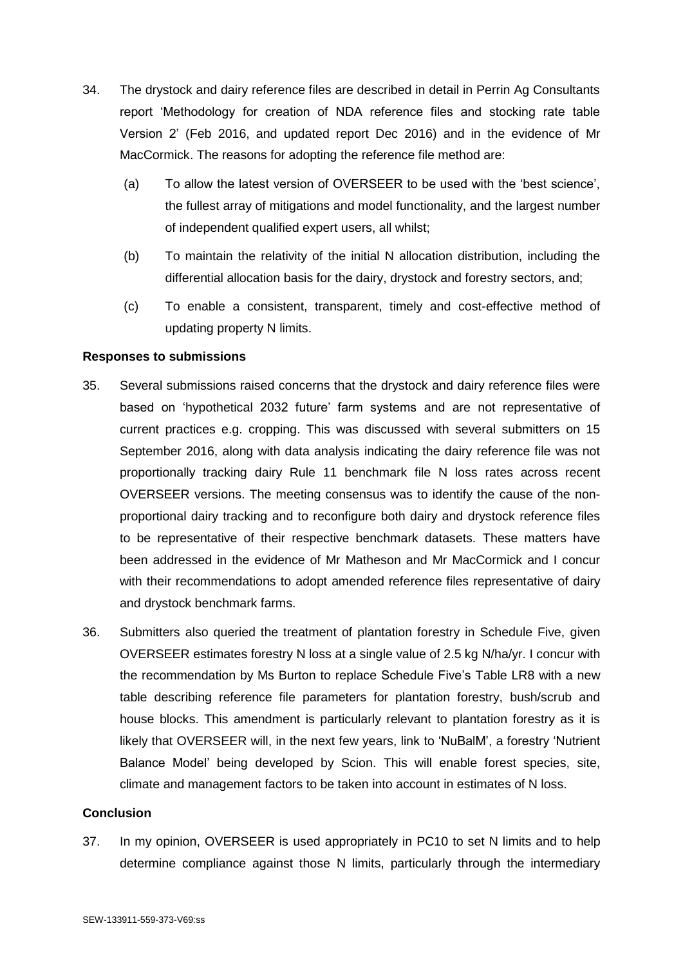- 34. The drystock and dairy reference files are described in detail in Perrin Ag Consultants report 'Methodology for creation of NDA reference files and stocking rate table Version 2' (Feb 2016, and updated report Dec 2016) and in the evidence of Mr MacCormick. The reasons for adopting the reference file method are:
	- (a) To allow the latest version of OVERSEER to be used with the 'best science', the fullest array of mitigations and model functionality, and the largest number of independent qualified expert users, all whilst;
	- (b) To maintain the relativity of the initial N allocation distribution, including the differential allocation basis for the dairy, drystock and forestry sectors, and;
	- (c) To enable a consistent, transparent, timely and cost-effective method of updating property N limits.

#### **Responses to submissions**

- 35. Several submissions raised concerns that the drystock and dairy reference files were based on 'hypothetical 2032 future' farm systems and are not representative of current practices e.g. cropping. This was discussed with several submitters on 15 September 2016, along with data analysis indicating the dairy reference file was not proportionally tracking dairy Rule 11 benchmark file N loss rates across recent OVERSEER versions. The meeting consensus was to identify the cause of the nonproportional dairy tracking and to reconfigure both dairy and drystock reference files to be representative of their respective benchmark datasets. These matters have been addressed in the evidence of Mr Matheson and Mr MacCormick and I concur with their recommendations to adopt amended reference files representative of dairy and drystock benchmark farms.
- 36. Submitters also queried the treatment of plantation forestry in Schedule Five, given OVERSEER estimates forestry N loss at a single value of 2.5 kg N/ha/yr. I concur with the recommendation by Ms Burton to replace Schedule Five's Table LR8 with a new table describing reference file parameters for plantation forestry, bush/scrub and house blocks. This amendment is particularly relevant to plantation forestry as it is likely that OVERSEER will, in the next few years, link to 'NuBalM', a forestry 'Nutrient Balance Model' being developed by Scion. This will enable forest species, site, climate and management factors to be taken into account in estimates of N loss.

#### **Conclusion**

37. In my opinion, OVERSEER is used appropriately in PC10 to set N limits and to help determine compliance against those N limits, particularly through the intermediary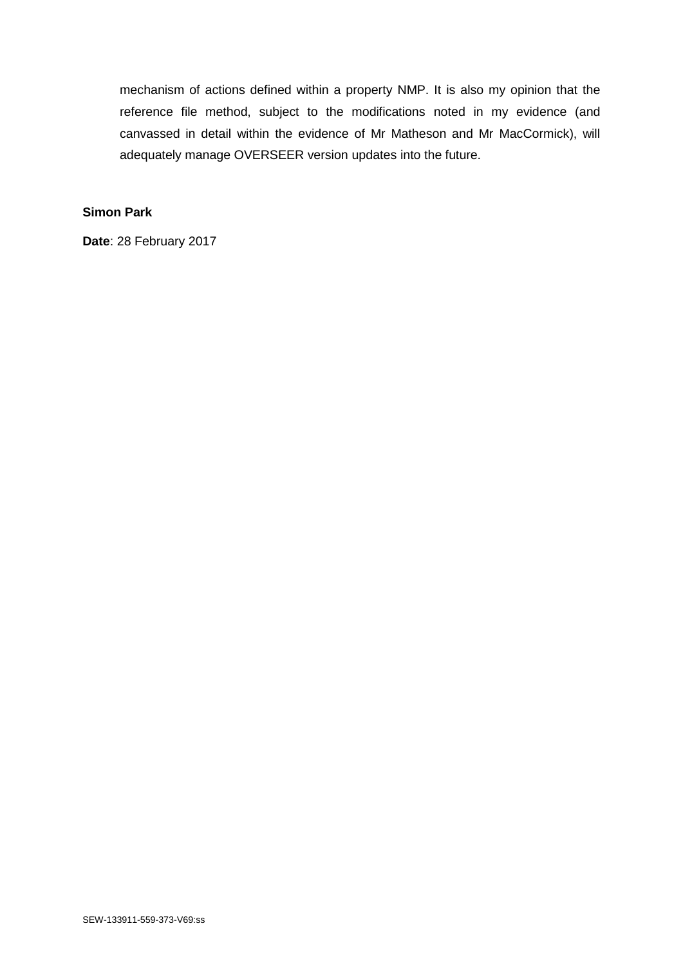mechanism of actions defined within a property NMP. It is also my opinion that the reference file method, subject to the modifications noted in my evidence (and canvassed in detail within the evidence of Mr Matheson and Mr MacCormick), will adequately manage OVERSEER version updates into the future.

# **Simon Park**

**Date**: 28 February 2017